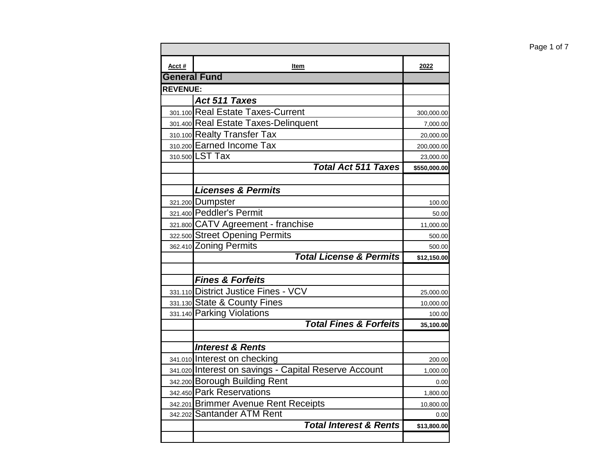| Acct#               | Item                                                  | 2022                |
|---------------------|-------------------------------------------------------|---------------------|
| <b>General Fund</b> |                                                       |                     |
| <b>REVENUE:</b>     |                                                       |                     |
|                     | Act 511 Taxes                                         |                     |
|                     | 301.100 Real Estate Taxes-Current                     | 300,000.00          |
|                     | 301.400 Real Estate Taxes-Delinquent                  | 7,000.00            |
|                     | 310.100 Realty Transfer Tax                           | 20,000.00           |
|                     | 310.200 Earned Income Tax                             | 200,000.00          |
|                     | 310.500 LST Tax                                       | 23,000.00           |
|                     | <b>Total Act 511 Taxes</b>                            | \$550,000.00        |
|                     |                                                       |                     |
|                     | <b>Licenses &amp; Permits</b>                         |                     |
|                     | 321.200 Dumpster                                      | 100.00              |
|                     | 321.400 Peddler's Permit                              | 50.00               |
|                     | 321.800 CATV Agreement - franchise                    | 11,000.00           |
|                     | 322.500 Street Opening Permits                        | 500.00              |
|                     | 362.410 Zoning Permits                                | 500.00              |
|                     | <b>Total License &amp; Permits</b>                    | \$12,150.00         |
|                     | <b>Fines &amp; Forfeits</b>                           |                     |
|                     | 331.110 District Justice Fines - VCV                  |                     |
|                     | 331.130 State & County Fines                          | 25,000.00           |
|                     | 331.140 Parking Violations                            | 10,000.00<br>100.00 |
|                     | <b>Total Fines &amp; Forfeits</b>                     | 35,100.00           |
|                     |                                                       |                     |
|                     | <b>Interest &amp; Rents</b>                           |                     |
|                     | 341.010 Interest on checking                          | 200.00              |
|                     | 341.020 Interest on savings - Capital Reserve Account | 1,000.00            |
|                     | 342.200 Borough Building Rent                         | 0.00                |
|                     | 342.450 Park Reservations                             | 1,800.00            |
|                     | 342.201 Brimmer Avenue Rent Receipts                  | 10,800.00           |
|                     | 342.202 Santander ATM Rent                            | 0.00                |
|                     | <b>Total Interest &amp; Rents</b>                     | \$13,800.00         |
|                     |                                                       |                     |

Page 1 of 7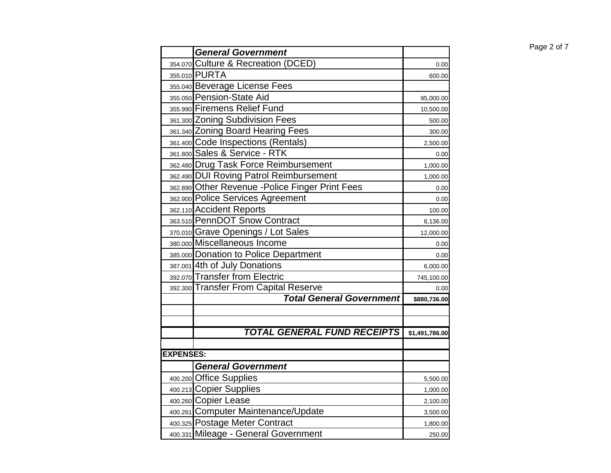| Page 2 of 7 |  |  |
|-------------|--|--|
|             |  |  |

| 354.070 Culture & Recreation (DCED)<br>0.00<br>355.010 PURTA<br>600.00<br>355.040 Beverage License Fees<br>355.050 Pension-State Aid<br>95,000.00<br>355.990 Firemens Relief Fund<br>10,500.00<br>361.300 Zoning Subdivision Fees<br>500.00<br>361.340 Zoning Board Hearing Fees<br>300.00<br>361.400 Code Inspections (Rentals)<br>2,500.00<br>361.800 Sales & Service - RTK<br>0.00<br>362.480 Drug Task Force Reimbursement<br>1,000.00<br>362.490 DUI Roving Patrol Reimbursement<br>1,000.00<br>362.890 Other Revenue - Police Finger Print Fees<br>0.00<br>362.900 Police Services Agreement<br>0.00<br>362.110 Accident Reports<br>100.00<br>363.510 PennDOT Snow Contract<br>6,136.00<br>370.010 Grave Openings / Lot Sales<br>12,000.00<br>380.000 Miscellaneous Income<br>0.00<br>385.000 Donation to Police Department<br>0.00<br>387.001 4th of July Donations<br>6,000.00<br>392.070 Transfer from Electric<br>745,100.00<br>392.300 Transfer From Capital Reserve<br>0.00<br><b>Total General Government</b><br>\$880,736.00<br><b>TOTAL GENERAL FUND RECEIPTS</b><br>\$1,491,786.00<br><b>EXPENSES:</b><br><b>General Government</b><br>400.200 Office Supplies<br>5,500.00<br>400.213 Copier Supplies<br>1,000.00<br>400.260 Copier Lease<br>2,100.00<br>400.261 Computer Maintenance/Update<br>3,500.00<br>400.325 Postage Meter Contract<br>1,800.00<br>400.331 Mileage - General Government<br>250.00 | <b>General Government</b> | Page 2 of 7 |
|--------------------------------------------------------------------------------------------------------------------------------------------------------------------------------------------------------------------------------------------------------------------------------------------------------------------------------------------------------------------------------------------------------------------------------------------------------------------------------------------------------------------------------------------------------------------------------------------------------------------------------------------------------------------------------------------------------------------------------------------------------------------------------------------------------------------------------------------------------------------------------------------------------------------------------------------------------------------------------------------------------------------------------------------------------------------------------------------------------------------------------------------------------------------------------------------------------------------------------------------------------------------------------------------------------------------------------------------------------------------------------------------------------------------------|---------------------------|-------------|
|                                                                                                                                                                                                                                                                                                                                                                                                                                                                                                                                                                                                                                                                                                                                                                                                                                                                                                                                                                                                                                                                                                                                                                                                                                                                                                                                                                                                                          |                           |             |
|                                                                                                                                                                                                                                                                                                                                                                                                                                                                                                                                                                                                                                                                                                                                                                                                                                                                                                                                                                                                                                                                                                                                                                                                                                                                                                                                                                                                                          |                           |             |
|                                                                                                                                                                                                                                                                                                                                                                                                                                                                                                                                                                                                                                                                                                                                                                                                                                                                                                                                                                                                                                                                                                                                                                                                                                                                                                                                                                                                                          |                           |             |
|                                                                                                                                                                                                                                                                                                                                                                                                                                                                                                                                                                                                                                                                                                                                                                                                                                                                                                                                                                                                                                                                                                                                                                                                                                                                                                                                                                                                                          |                           |             |
|                                                                                                                                                                                                                                                                                                                                                                                                                                                                                                                                                                                                                                                                                                                                                                                                                                                                                                                                                                                                                                                                                                                                                                                                                                                                                                                                                                                                                          |                           |             |
|                                                                                                                                                                                                                                                                                                                                                                                                                                                                                                                                                                                                                                                                                                                                                                                                                                                                                                                                                                                                                                                                                                                                                                                                                                                                                                                                                                                                                          |                           |             |
|                                                                                                                                                                                                                                                                                                                                                                                                                                                                                                                                                                                                                                                                                                                                                                                                                                                                                                                                                                                                                                                                                                                                                                                                                                                                                                                                                                                                                          |                           |             |
|                                                                                                                                                                                                                                                                                                                                                                                                                                                                                                                                                                                                                                                                                                                                                                                                                                                                                                                                                                                                                                                                                                                                                                                                                                                                                                                                                                                                                          |                           |             |
|                                                                                                                                                                                                                                                                                                                                                                                                                                                                                                                                                                                                                                                                                                                                                                                                                                                                                                                                                                                                                                                                                                                                                                                                                                                                                                                                                                                                                          |                           |             |
|                                                                                                                                                                                                                                                                                                                                                                                                                                                                                                                                                                                                                                                                                                                                                                                                                                                                                                                                                                                                                                                                                                                                                                                                                                                                                                                                                                                                                          |                           |             |
|                                                                                                                                                                                                                                                                                                                                                                                                                                                                                                                                                                                                                                                                                                                                                                                                                                                                                                                                                                                                                                                                                                                                                                                                                                                                                                                                                                                                                          |                           |             |
|                                                                                                                                                                                                                                                                                                                                                                                                                                                                                                                                                                                                                                                                                                                                                                                                                                                                                                                                                                                                                                                                                                                                                                                                                                                                                                                                                                                                                          |                           |             |
|                                                                                                                                                                                                                                                                                                                                                                                                                                                                                                                                                                                                                                                                                                                                                                                                                                                                                                                                                                                                                                                                                                                                                                                                                                                                                                                                                                                                                          |                           |             |
|                                                                                                                                                                                                                                                                                                                                                                                                                                                                                                                                                                                                                                                                                                                                                                                                                                                                                                                                                                                                                                                                                                                                                                                                                                                                                                                                                                                                                          |                           |             |
|                                                                                                                                                                                                                                                                                                                                                                                                                                                                                                                                                                                                                                                                                                                                                                                                                                                                                                                                                                                                                                                                                                                                                                                                                                                                                                                                                                                                                          |                           |             |
|                                                                                                                                                                                                                                                                                                                                                                                                                                                                                                                                                                                                                                                                                                                                                                                                                                                                                                                                                                                                                                                                                                                                                                                                                                                                                                                                                                                                                          |                           |             |
|                                                                                                                                                                                                                                                                                                                                                                                                                                                                                                                                                                                                                                                                                                                                                                                                                                                                                                                                                                                                                                                                                                                                                                                                                                                                                                                                                                                                                          |                           |             |
|                                                                                                                                                                                                                                                                                                                                                                                                                                                                                                                                                                                                                                                                                                                                                                                                                                                                                                                                                                                                                                                                                                                                                                                                                                                                                                                                                                                                                          |                           |             |
|                                                                                                                                                                                                                                                                                                                                                                                                                                                                                                                                                                                                                                                                                                                                                                                                                                                                                                                                                                                                                                                                                                                                                                                                                                                                                                                                                                                                                          |                           |             |
|                                                                                                                                                                                                                                                                                                                                                                                                                                                                                                                                                                                                                                                                                                                                                                                                                                                                                                                                                                                                                                                                                                                                                                                                                                                                                                                                                                                                                          |                           |             |
|                                                                                                                                                                                                                                                                                                                                                                                                                                                                                                                                                                                                                                                                                                                                                                                                                                                                                                                                                                                                                                                                                                                                                                                                                                                                                                                                                                                                                          |                           |             |
|                                                                                                                                                                                                                                                                                                                                                                                                                                                                                                                                                                                                                                                                                                                                                                                                                                                                                                                                                                                                                                                                                                                                                                                                                                                                                                                                                                                                                          |                           |             |
|                                                                                                                                                                                                                                                                                                                                                                                                                                                                                                                                                                                                                                                                                                                                                                                                                                                                                                                                                                                                                                                                                                                                                                                                                                                                                                                                                                                                                          |                           |             |
|                                                                                                                                                                                                                                                                                                                                                                                                                                                                                                                                                                                                                                                                                                                                                                                                                                                                                                                                                                                                                                                                                                                                                                                                                                                                                                                                                                                                                          |                           |             |
|                                                                                                                                                                                                                                                                                                                                                                                                                                                                                                                                                                                                                                                                                                                                                                                                                                                                                                                                                                                                                                                                                                                                                                                                                                                                                                                                                                                                                          |                           |             |
|                                                                                                                                                                                                                                                                                                                                                                                                                                                                                                                                                                                                                                                                                                                                                                                                                                                                                                                                                                                                                                                                                                                                                                                                                                                                                                                                                                                                                          |                           |             |
|                                                                                                                                                                                                                                                                                                                                                                                                                                                                                                                                                                                                                                                                                                                                                                                                                                                                                                                                                                                                                                                                                                                                                                                                                                                                                                                                                                                                                          |                           |             |
|                                                                                                                                                                                                                                                                                                                                                                                                                                                                                                                                                                                                                                                                                                                                                                                                                                                                                                                                                                                                                                                                                                                                                                                                                                                                                                                                                                                                                          |                           |             |
|                                                                                                                                                                                                                                                                                                                                                                                                                                                                                                                                                                                                                                                                                                                                                                                                                                                                                                                                                                                                                                                                                                                                                                                                                                                                                                                                                                                                                          |                           |             |
|                                                                                                                                                                                                                                                                                                                                                                                                                                                                                                                                                                                                                                                                                                                                                                                                                                                                                                                                                                                                                                                                                                                                                                                                                                                                                                                                                                                                                          |                           |             |
|                                                                                                                                                                                                                                                                                                                                                                                                                                                                                                                                                                                                                                                                                                                                                                                                                                                                                                                                                                                                                                                                                                                                                                                                                                                                                                                                                                                                                          |                           |             |
|                                                                                                                                                                                                                                                                                                                                                                                                                                                                                                                                                                                                                                                                                                                                                                                                                                                                                                                                                                                                                                                                                                                                                                                                                                                                                                                                                                                                                          |                           |             |
|                                                                                                                                                                                                                                                                                                                                                                                                                                                                                                                                                                                                                                                                                                                                                                                                                                                                                                                                                                                                                                                                                                                                                                                                                                                                                                                                                                                                                          |                           |             |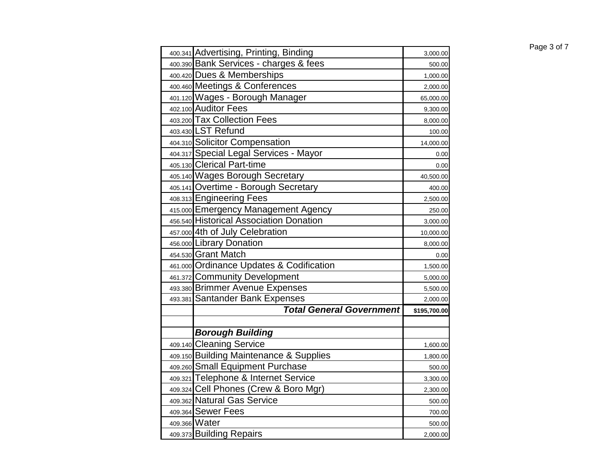| 400.341 Advertising, Printing, Binding   | 3,000.00     |
|------------------------------------------|--------------|
| 400.390 Bank Services - charges & fees   | 500.00       |
| 400.420 Dues & Memberships               | 1,000.00     |
| 400.460 Meetings & Conferences           | 2,000.00     |
| 401.120 Wages - Borough Manager          | 65,000.00    |
| 402.100 Auditor Fees                     | 9,300.00     |
| 403.200 Tax Collection Fees              | 8,000.00     |
| 403.430 LST Refund                       | 100.00       |
| 404.310 Solicitor Compensation           | 14,000.00    |
| 404.317 Special Legal Services - Mayor   | 0.00         |
| 405.130 Clerical Part-time               | 0.00         |
| 405.140 Wages Borough Secretary          | 40,500.00    |
| 405.141 Overtime - Borough Secretary     | 400.00       |
| 408.313 Engineering Fees                 | 2,500.00     |
| 415.000 Emergency Management Agency      | 250.00       |
| 456.540 Historical Association Donation  | 3,000.00     |
| 457.000 4th of July Celebration          | 10,000.00    |
| 456.000 Library Donation                 | 8,000.00     |
| 454.530 Grant Match                      | 0.00         |
| 461.000 Ordinance Updates & Codification | 1,500.00     |
| 461.372 Community Development            | 5,000.00     |
| 493.380 Brimmer Avenue Expenses          | 5,500.00     |
| 493.381 Santander Bank Expenses          | 2,000.00     |
| <b>Total General Government</b>          | \$195,700.00 |
|                                          |              |
| <b>Borough Building</b>                  |              |
| 409.140 Cleaning Service                 | 1,600.00     |
| 409.150 Building Maintenance & Supplies  | 1,800.00     |
| 409.260 Small Equipment Purchase         | 500.00       |
| 409.321 Telephone & Internet Service     | 3,300.00     |
| 409.324 Cell Phones (Crew & Boro Mgr)    | 2,300.00     |
| 409.362 Natural Gas Service              | 500.00       |
| 409.364 Sewer Fees                       | 700.00       |
| 409.366 Water                            | 500.00       |
| 409.373 Building Repairs                 | 2,000.00     |

## Page 3 of 7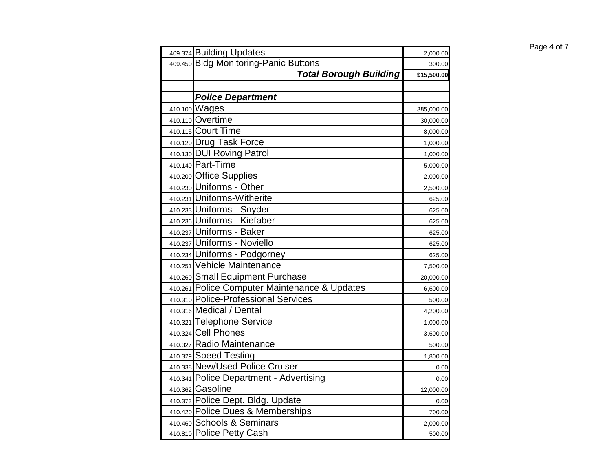| 409.374 Building Updates                      | 2,000.00    |
|-----------------------------------------------|-------------|
| 409.450 Bldg Monitoring-Panic Buttons         | 300.00      |
| <b>Total Borough Building</b>                 | \$15,500.00 |
|                                               |             |
| <b>Police Department</b>                      |             |
| 410.100 Wages                                 | 385,000.00  |
| 410.110 Overtime                              | 30,000.00   |
| 410.115 Court Time                            | 8,000.00    |
| 410.120 Drug Task Force                       | 1,000.00    |
| 410.130 DUI Roving Patrol                     | 1,000.00    |
| 410.140 Part-Time                             | 5,000.00    |
| 410.200 Office Supplies                       | 2,000.00    |
| 410.230 Uniforms - Other                      | 2,500.00    |
| 410.231 Uniforms-Witherite                    | 625.00      |
| 410.233 Uniforms - Snyder                     | 625.00      |
| 410.236 Uniforms - Kiefaber                   | 625.00      |
| 410.237 Uniforms - Baker                      | 625.00      |
| 410.237 Uniforms - Noviello                   | 625.00      |
| 410.234 Uniforms - Podgorney                  | 625.00      |
| 410.251 Vehicle Maintenance                   | 7,500.00    |
| 410.260 Small Equipment Purchase              | 20,000.00   |
| 410.261 Police Computer Maintenance & Updates | 6,600.00    |
| 410.310 Police-Professional Services          | 500.00      |
| 410.316 Medical / Dental                      | 4,200.00    |
| 410.321 Telephone Service                     | 1,000.00    |
| 410.324 Cell Phones                           | 3,600.00    |
| 410.327 Radio Maintenance                     | 500.00      |
| 410.329 Speed Testing                         | 1,800.00    |
| 410.338 New/Used Police Cruiser               | 0.00        |
| 410.341 Police Department - Advertising       | 0.00        |
| 410.362 Gasoline                              | 12,000.00   |
| 410.373 Police Dept. Bldg. Update             | 0.00        |
| 410.420 Police Dues & Memberships             | 700.00      |
| 410.460 Schools & Seminars                    | 2,000.00    |
| 410.810 Police Petty Cash                     | 500.00      |

## Page 4 of 7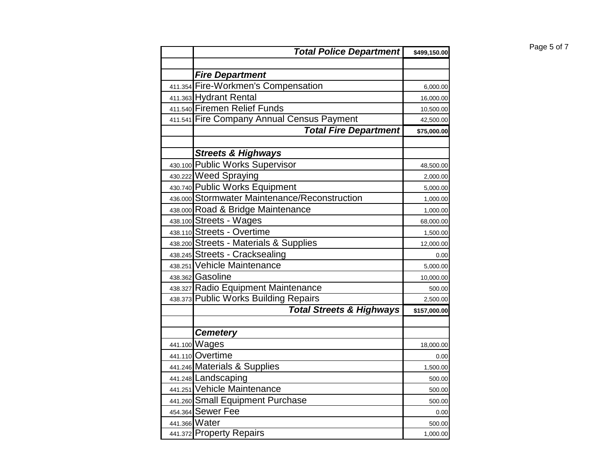| <b>Total Police Department</b>                                           | \$499,150.00       | Page 5 of 7 |
|--------------------------------------------------------------------------|--------------------|-------------|
|                                                                          |                    |             |
| <b>Fire Department</b>                                                   |                    |             |
| 411.354 Fire-Workmen's Compensation                                      | 6,000.00           |             |
| 411.363 Hydrant Rental                                                   | 16,000.00          |             |
| 411.540 Firemen Relief Funds                                             | 10,500.00          |             |
| 411.541 Fire Company Annual Census Payment                               | 42,500.00          |             |
| <b>Total Fire Department</b>                                             | \$75,000.00        |             |
|                                                                          |                    |             |
| <b>Streets &amp; Highways</b>                                            |                    |             |
| 430.100 Public Works Supervisor                                          | 48,500.00          |             |
| 430.222 Weed Spraying                                                    | 2,000.00           |             |
| 430.740 Public Works Equipment                                           | 5,000.00           |             |
| 436.000 Stormwater Maintenance/Reconstruction                            | 1,000.00           |             |
| 438.000 Road & Bridge Maintenance                                        | 1,000.00           |             |
| 438.100 Streets - Wages                                                  | 68,000.00          |             |
| 438.110 Streets - Overtime                                               | 1,500.00           |             |
| 438.200 Streets - Materials & Supplies<br>438.245 Streets - Cracksealing | 12,000.00          |             |
| 438.251 Vehicle Maintenance                                              | 0.00               |             |
| 438.362 Gasoline                                                         | 5,000.00           |             |
| 438.327 Radio Equipment Maintenance                                      | 10,000.00          |             |
| 438.373 Public Works Building Repairs                                    | 500.00<br>2,500.00 |             |
| <b>Total Streets &amp; Highways</b>                                      | \$157,000.00       |             |
|                                                                          |                    |             |
| <b>Cemetery</b>                                                          |                    |             |
| 441.100 Wages                                                            | 18,000.00          |             |
| 441.110 Overtime                                                         | 0.00               |             |
| 441.246 Materials & Supplies                                             | 1,500.00           |             |
| 441.248 Landscaping                                                      | 500.00             |             |
| 441.251 Vehicle Maintenance                                              | 500.00             |             |
| 441.260 Small Equipment Purchase                                         | 500.00             |             |
| 454.364 Sewer Fee                                                        | 0.00               |             |
| 441.366 Water                                                            | 500.00             |             |
| 441.372 Property Repairs                                                 | 1,000.00           |             |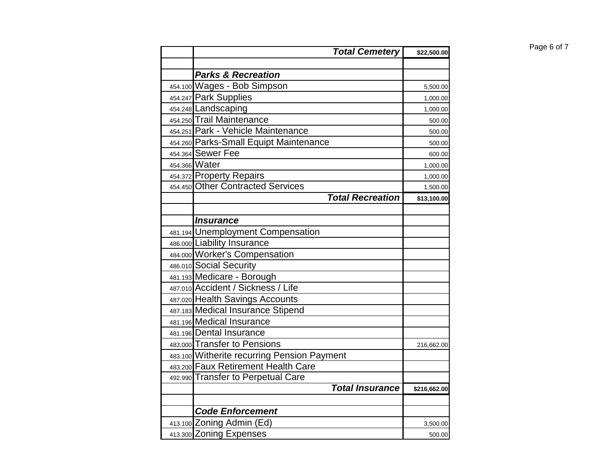| <b>Total Cemetery</b>                                         | \$22,500.00  |
|---------------------------------------------------------------|--------------|
|                                                               |              |
| <b>Parks &amp; Recreation</b>                                 |              |
| 454.100 Wages - Bob Simpson                                   | 5,500.00     |
| 454.247 Park Supplies                                         | 1,000.00     |
| 454.248 Landscaping                                           | 1,000.00     |
| 454.250 Trail Maintenance                                     | 500.00       |
| 454.251 Park - Vehicle Maintenance                            | 500.00       |
| 454.260 Parks-Small Equipt Maintenance                        | 500.00       |
| 454.364 Sewer Fee                                             | 600.00       |
| 454.366 Water                                                 | 1,000.00     |
| 454.372 Property Repairs<br>454.450 Other Contracted Services | 1,000.00     |
|                                                               | 1,500.00     |
| <b>Total Recreation</b>                                       | \$13,100.00  |
|                                                               |              |
| <i><b>Insurance</b></i>                                       |              |
| 481.194 Unemployment Compensation                             |              |
| 486.000 Liability Insurance                                   |              |
| 484.000 Worker's Compensation                                 |              |
| 486.010 Social Security                                       |              |
| 481.193 Medicare - Borough                                    |              |
| 487.010 Accident / Sickness / Life                            |              |
| 487.020 Health Savings Accounts                               |              |
| 487.183 Medical Insurance Stipend                             |              |
| 481.196 Medical Insurance                                     |              |
| 481.196 Dental Insurance                                      |              |
| 483.000 Transfer to Pensions                                  | 216,662.00   |
| 483.100 Witherite recurring Pension Payment                   |              |
| 483.200 Faux Retirement Health Care                           |              |
| 492.990 Transfer to Perpetual Care                            |              |
| <b>Total Insurance</b>                                        | \$216,662.00 |
|                                                               |              |
| <b>Code Enforcement</b>                                       |              |
| 413.100 Zoning Admin (Ed)                                     | 3,500.00     |
| 413.300 Zoning Expenses                                       | 500.00       |

 $Page 6 of 7$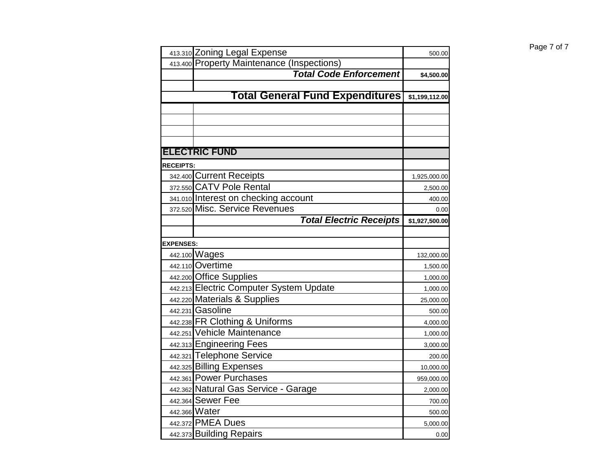|                  | 413.310 Zoning Legal Expense               | 500.00         |
|------------------|--------------------------------------------|----------------|
|                  | 413.400 Property Maintenance (Inspections) |                |
|                  | <b>Total Code Enforcement</b>              | \$4,500.00     |
|                  |                                            |                |
|                  | <b>Total General Fund Expenditures</b>     | \$1,199,112.00 |
|                  |                                            |                |
|                  |                                            |                |
|                  |                                            |                |
|                  |                                            |                |
|                  | <b>ELECTRIC FUND</b>                       |                |
| <b>RECEIPTS:</b> |                                            |                |
|                  | 342.400 Current Receipts                   | 1,925,000.00   |
|                  | 372.550 CATV Pole Rental                   | 2,500.00       |
|                  | 341.010 Interest on checking account       | 400.00         |
|                  | 372.520 Misc. Service Revenues             | 0.00           |
|                  | <b>Total Electric Receipts</b>             | \$1,927,500.00 |
|                  |                                            |                |
| <b>EXPENSES:</b> |                                            |                |
|                  | 442.100 Wages                              | 132,000.00     |
|                  | 442.110 Overtime                           | 1,500.00       |
|                  | 442.200 Office Supplies                    | 1,000.00       |
|                  | 442.213 Electric Computer System Update    | 1,000.00       |
|                  | 442.220 Materials & Supplies               | 25,000.00      |
|                  | 442.231 Gasoline                           | 500.00         |
|                  | 442.238 FR Clothing & Uniforms             | 4,000.00       |
|                  | 442.251 Vehicle Maintenance                | 1,000.00       |
|                  | 442.313 Engineering Fees                   | 3,000.00       |
|                  | 442.321 Telephone Service                  | 200.00         |
|                  | 442.325 Billing Expenses                   | 10,000.00      |
|                  | 442.361 Power Purchases                    | 959,000.00     |
|                  | 442.362 Natural Gas Service - Garage       | 2,000.00       |
|                  | 442.364 Sewer Fee                          | 700.00         |
|                  | 442.366 Water                              | 500.00         |
|                  | 442.372 PMEA Dues                          | 5,000.00       |
|                  | 442.373 Building Repairs                   | 0.00           |